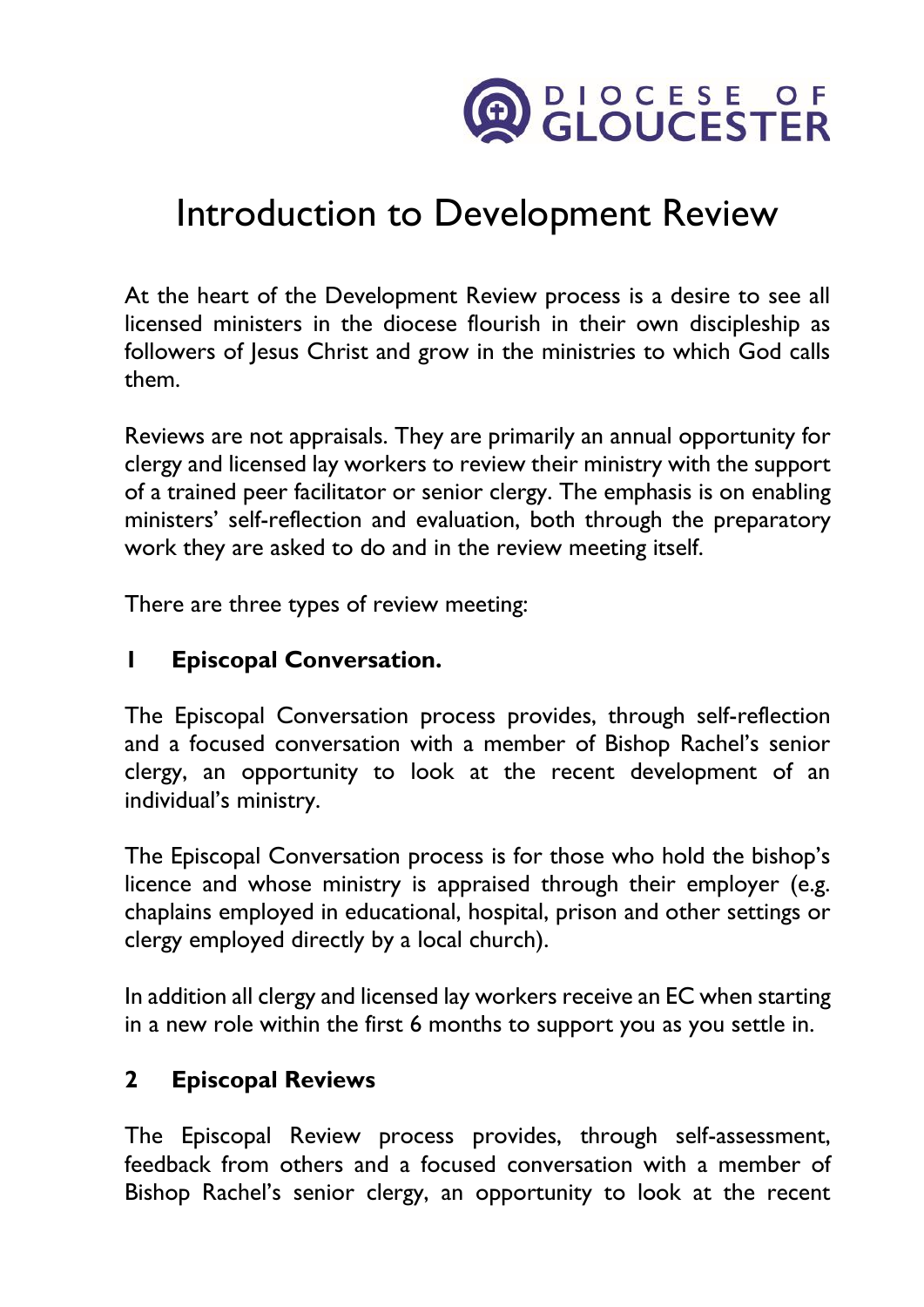

# Introduction to Development Review

At the heart of the Development Review process is a desire to see all licensed ministers in the diocese flourish in their own discipleship as followers of Jesus Christ and grow in the ministries to which God calls them.

Reviews are not appraisals. They are primarily an annual opportunity for clergy and licensed lay workers to review their ministry with the support of a trained peer facilitator or senior clergy. The emphasis is on enabling ministers' self-reflection and evaluation, both through the preparatory work they are asked to do and in the review meeting itself.

There are three types of review meeting:

#### **1 Episcopal Conversation.**

The Episcopal Conversation process provides, through self-reflection and a focused conversation with a member of Bishop Rachel's senior clergy, an opportunity to look at the recent development of an individual's ministry.

The Episcopal Conversation process is for those who hold the bishop's licence and whose ministry is appraised through their employer (e.g. chaplains employed in educational, hospital, prison and other settings or clergy employed directly by a local church).

In addition all clergy and licensed lay workers receive an EC when starting in a new role within the first 6 months to support you as you settle in.

#### **2 Episcopal Reviews**

The Episcopal Review process provides, through self-assessment, feedback from others and a focused conversation with a member of Bishop Rachel's senior clergy, an opportunity to look at the recent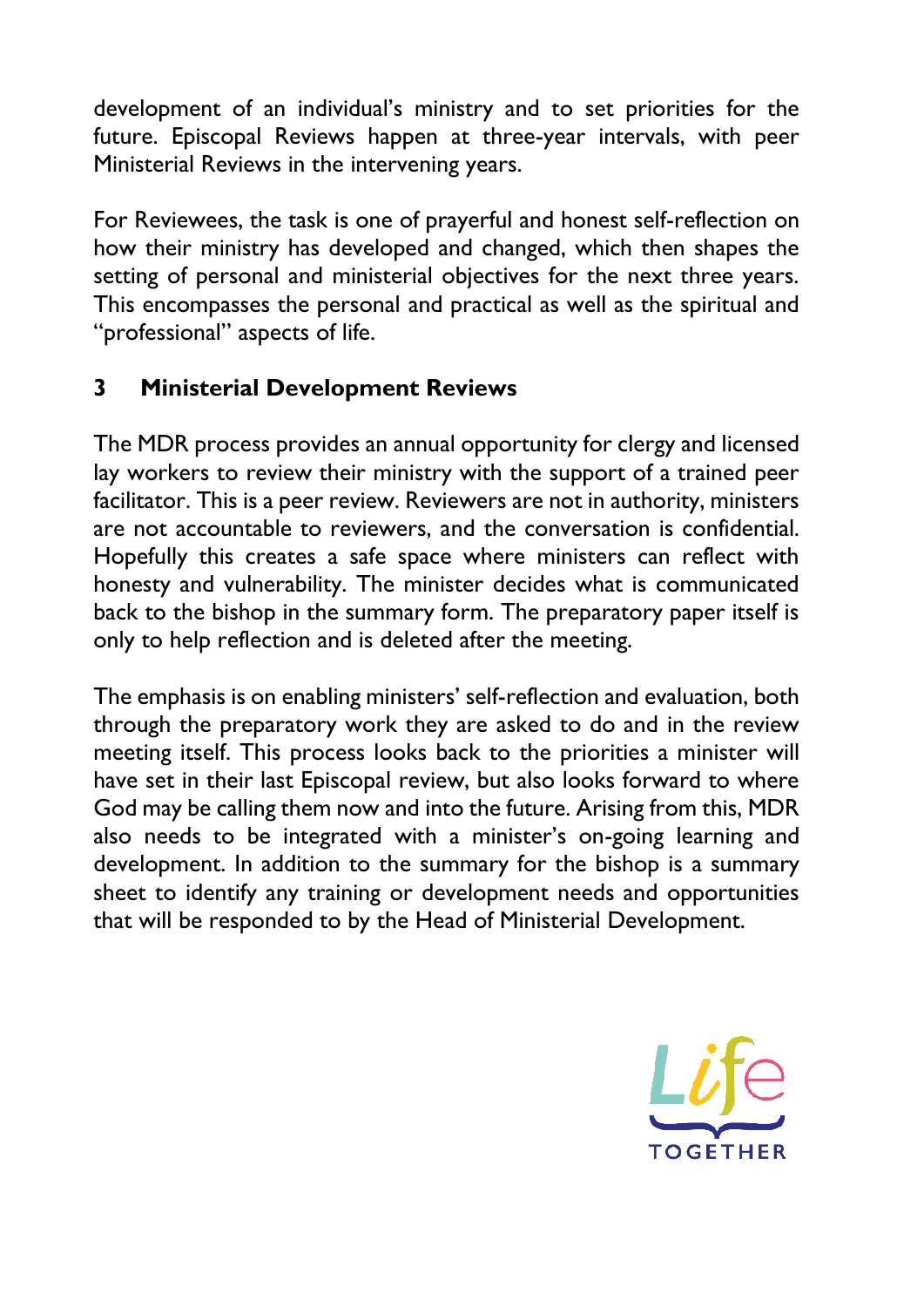development of an individual's ministry and to set priorities for the future. Episcopal Reviews happen at three-year intervals, with peer Ministerial Reviews in the intervening years.

For Reviewees, the task is one of prayerful and honest self-reflection on how their ministry has developed and changed, which then shapes the setting of personal and ministerial objectives for the next three years. This encompasses the personal and practical as well as the spiritual and "professional" aspects of life.

## **3 Ministerial Development Reviews**

The MDR process provides an annual opportunity for clergy and licensed lay workers to review their ministry with the support of a trained peer facilitator. This is a peer review. Reviewers are not in authority, ministers are not accountable to reviewers, and the conversation is confidential. Hopefully this creates a safe space where ministers can reflect with honesty and vulnerability. The minister decides what is communicated back to the bishop in the summary form. The preparatory paper itself is only to help reflection and is deleted after the meeting.

The emphasis is on enabling ministers' self-reflection and evaluation, both through the preparatory work they are asked to do and in the review meeting itself. This process looks back to the priorities a minister will have set in their last Episcopal review, but also looks forward to where God may be calling them now and into the future. Arising from this, MDR also needs to be integrated with a minister's on-going learning and development. In addition to the summary for the bishop is a summary sheet to identify any training or development needs and opportunities that will be responded to by the Head of Ministerial Development.

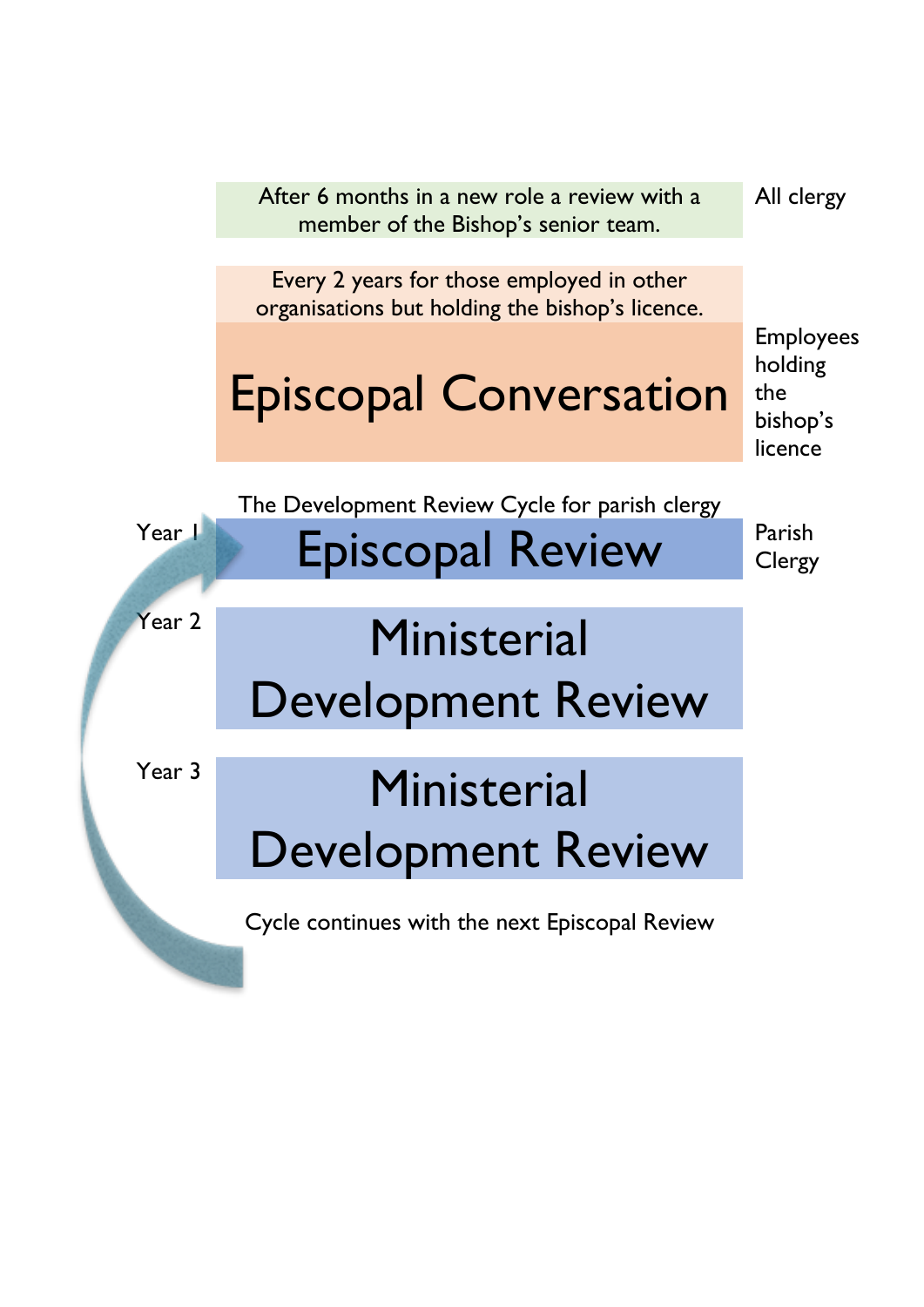